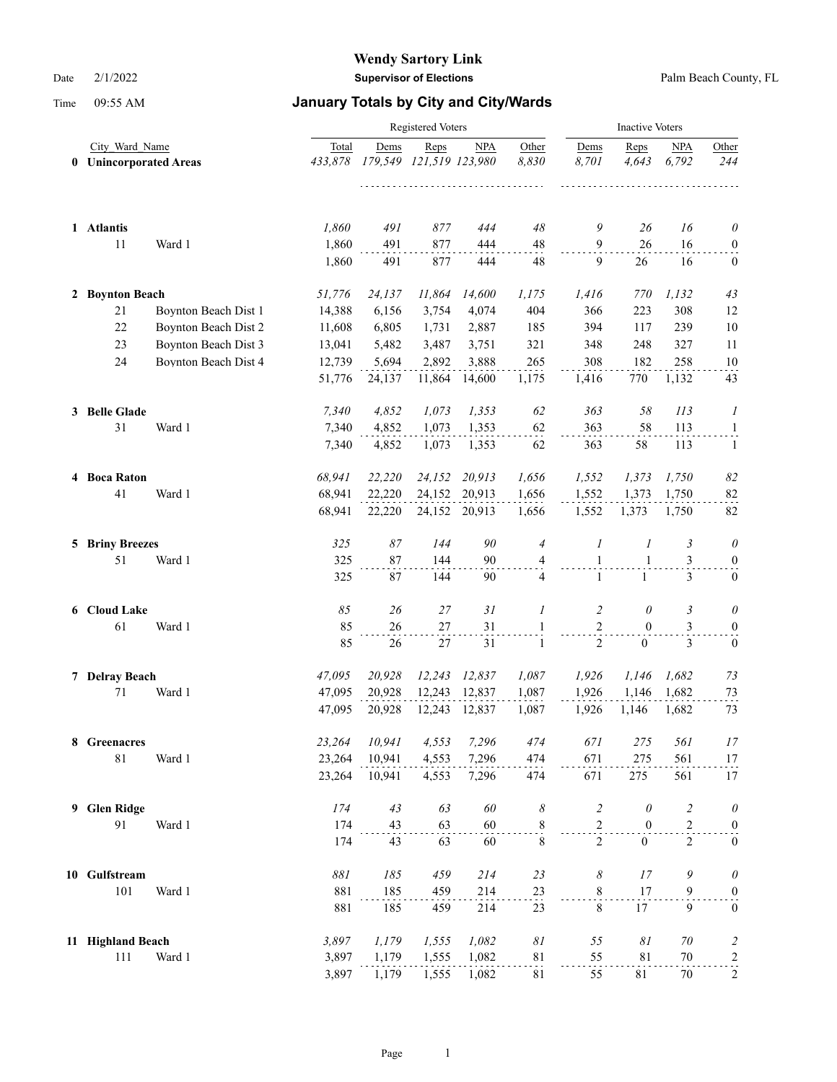|   |                        |                      |                | <b>Inactive Voters</b> |                         |               |                            |                              |                              |                |                                  |
|---|------------------------|----------------------|----------------|------------------------|-------------------------|---------------|----------------------------|------------------------------|------------------------------|----------------|----------------------------------|
|   | City Ward Name         |                      | Total          | Dems                   | Reps                    | <b>NPA</b>    | Other                      | Dems                         | Reps                         | <b>NPA</b>     | Other                            |
|   | 0 Unincorporated Areas |                      | 433,878        |                        | 179,549 121,519 123,980 |               | 8,830                      | 8,701                        | 4,643                        | 6,792          | 244                              |
|   | 1 Atlantis             |                      | 1,860          | 491                    | 877                     | 444           | 48                         | 9                            | 26                           | 16             | $\theta$                         |
|   | 11                     | Ward 1               | 1,860<br>1,860 | 491<br>491             | 877<br>877              | 444<br>444    | 48<br>48                   | $\overline{9}$<br>9          | 26<br>26                     | 16<br>16       | $\boldsymbol{0}$<br>$\mathbf{0}$ |
|   | 2 Boynton Beach        |                      | 51,776         | 24,137                 | 11,864                  | 14,600        | 1,175                      | 1,416                        | 770                          | 1,132          | 43                               |
|   | 21                     | Boynton Beach Dist 1 | 14,388         | 6,156                  | 3,754                   | 4,074         | 404                        | 366                          | 223                          | 308            | 12                               |
|   | 22                     | Boynton Beach Dist 2 | 11,608         | 6,805                  | 1,731                   | 2,887         | 185                        | 394                          | 117                          | 239            | 10                               |
|   | 23                     | Boynton Beach Dist 3 | 13,041         | 5,482                  | 3,487                   | 3,751         | 321                        | 348                          | 248                          | 327            | 11                               |
|   | 24                     | Boynton Beach Dist 4 | 12,739         | 5,694                  | 2,892                   | 3,888         | 265                        | 308                          | 182                          | 258            | 10                               |
|   |                        |                      | 51,776         | 24,137                 | 11,864                  | 14,600        | 1,175                      | 1,416                        | 770                          | 1,132          | 43                               |
|   | 3 Belle Glade          |                      | 7,340          | 4,852                  | 1,073                   | 1,353         | 62                         | 363                          | 58                           | 113            | 1                                |
|   | 31                     | Ward 1               | 7,340          | 4,852                  | 1,073                   | 1,353         | 62                         | 363                          | 58                           | 113            | $\mathbf{1}$                     |
|   |                        |                      | 7,340          | 4,852                  | 1,073                   | 1,353         | 62                         | 363                          | 58                           | 113            | -1                               |
|   | 4 Boca Raton           |                      | 68,941         | 22,220                 | 24,152                  | 20,913        | 1,656                      | 1,552                        | 1,373                        | 1,750          | 82                               |
|   | 41                     | Ward 1               | 68,941         | 22,220                 | 24,152                  | 20,913        | 1,656                      | 1,552                        | 1,373                        | 1,750          | 82                               |
|   |                        |                      | 68,941         | 22,220                 |                         | 24,152 20,913 | 1,656                      | 1,552                        | 1,373                        | 1,750          | 82                               |
|   | <b>5 Briny Breezes</b> |                      | 325            | 87                     | 144                     | 90            | $\overline{4}$             | 1                            | 1                            | 3              | $\theta$                         |
|   | 51                     | Ward 1               | 325<br>325     | 87<br>87               | 144<br>144              | 90<br>90      | 4<br>4                     | $\mathbf{1}$<br>$\mathbf{1}$ | $\mathbf{1}$<br>$\mathbf{1}$ | 3<br>3         | $\boldsymbol{0}$<br>$\bf{0}$     |
|   |                        |                      |                |                        |                         |               |                            |                              |                              |                |                                  |
|   | 6 Cloud Lake           |                      | 85             | 26                     | 27                      | 31            | 1                          | 2                            | 0                            | 3              | 0                                |
|   | 61                     | Ward 1               | 85             | 26                     | 27                      | 31            | 1                          | $\overline{2}$               | $\mathbf{0}$                 | 3              | $\boldsymbol{0}$                 |
|   |                        |                      | 85             | 26                     | 27                      | 31            | 1                          | $\overline{2}$               | $\overline{0}$               | 3              | $\boldsymbol{0}$                 |
|   | 7 Delray Beach         |                      | 47,095         | 20,928                 | 12,243                  | 12,837        | 1,087                      | 1,926                        | 1,146                        | 1,682          | 73                               |
|   | 71                     | Ward 1               | 47,095         | 20,928                 | 12,243                  | 12,837        | 1,087                      | 1,926                        | 1,146                        | 1,682          | 73                               |
|   |                        |                      | 47,095         | 20,928                 | 12,243                  | 12,837        | 1,087                      | 1,926                        | 1,146                        | 1,682          | 73                               |
|   | 8 Greenacres           |                      | 23,264         | 10,941                 | 4,553                   | 7,296         | 474                        | 671                          | $275\,$                      | 561            | 17                               |
|   | $81\,$                 | Ward 1               | 23,264         | 10,941                 | 4,553                   | 7,296         | 474                        | 671                          | 275                          | 561            | $\frac{17}{11}$                  |
|   |                        |                      | 23,264         | 10,941                 | 4,553                   | 7,296         | 474                        | 671                          | 275                          | 561            | 17                               |
| 9 | <b>Glen Ridge</b>      |                      | 174            | 43                     | 63                      | 60            | $\boldsymbol{\mathcal{S}}$ | $\overline{c}$               | $\theta$                     | $\overline{c}$ | $\theta$                         |
|   | 91                     | Ward 1               | 174            | 43                     | 63                      | 60            | $\frac{8}{1}$              | $\sqrt{2}$                   | $\boldsymbol{0}$             | $\overline{c}$ | $\boldsymbol{0}$                 |
|   |                        |                      | 174            | 43                     | 63                      | 60            | $\,$ 8 $\,$                | $\overline{2}$               | $\mathbf{0}$                 | $\overline{2}$ | $\boldsymbol{0}$                 |
|   | 10 Gulfstream          |                      | $881\,$        | 185                    | 459                     | 214           | 23                         | 8                            | 17                           | 9              | $\theta$                         |
|   | 101                    | Ward 1               | 881            | 185                    | 459                     | 214           | $^{23}$                    | $\,$ 8 $\,$                  | 17                           | 9              | $\boldsymbol{0}$                 |
|   |                        |                      | 881            | 185                    | 459                     | 214           | 23                         | $\,8\,$                      | 17                           | 9              | $\boldsymbol{0}$                 |
|   | 11 Highland Beach      |                      | 3,897          | 1,179                  | 1,555                   | 1,082         | $\mathcal{S}I$             | 55                           | $\delta l$                   | $70\,$         | $\overline{c}$                   |
|   | 111                    | Ward 1               | 3,897          | 1,179                  | 1,555                   | 1,082         | 81                         | 55                           | 81                           | $70\,$         | $\overline{a}$                   |
|   |                        |                      | 3,897          | 1,179                  | 1,555                   | 1,082         | 81                         | 55                           | 81                           | 70             | $\overline{c}$                   |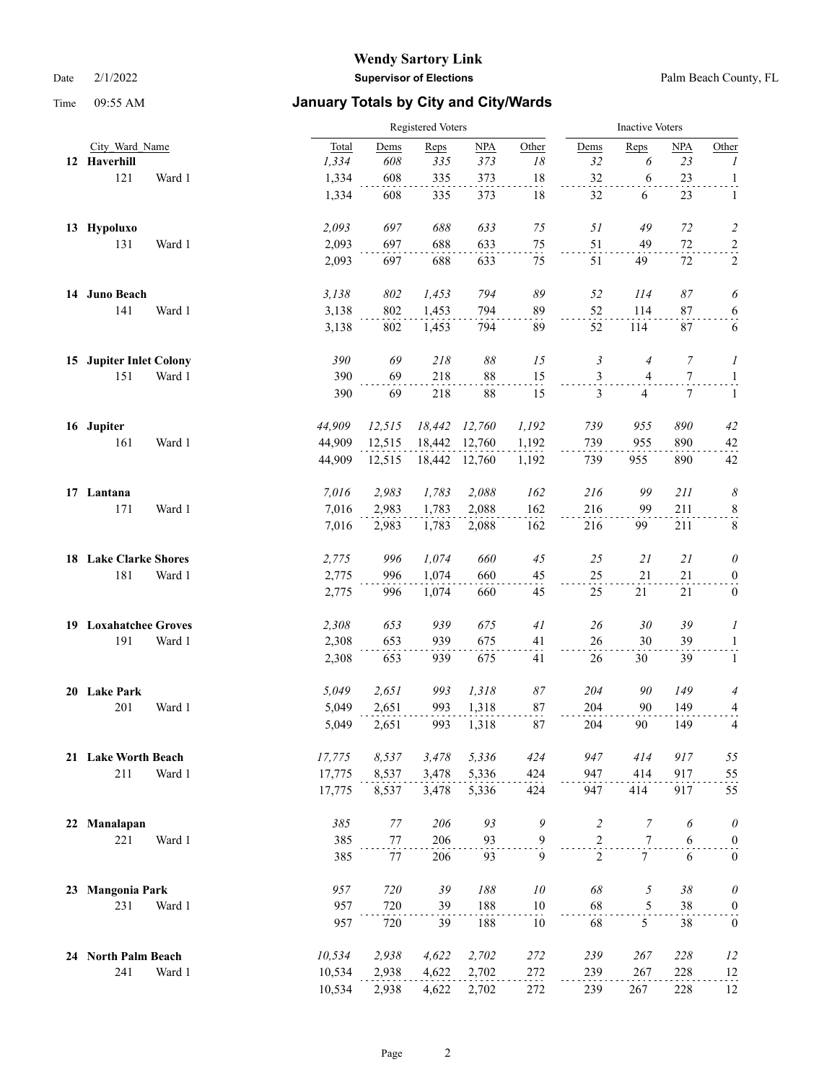|    |                         |        |        | Registered Voters |        |               |               |                | <b>Inactive Voters</b> |                  |                  |  |  |
|----|-------------------------|--------|--------|-------------------|--------|---------------|---------------|----------------|------------------------|------------------|------------------|--|--|
|    | City Ward Name          |        | Total  | Dems              | Reps   | NPA           | Other         | Dems           | Reps                   | NPA              | Other            |  |  |
|    | 12 Haverhill            |        | 1,334  | $608\,$           | 335    | 373           | 18            | 32             | 6                      | 23               | 1                |  |  |
|    | 121                     | Ward 1 | 1,334  | 608               | 335    | 373           | 18            | 32             | 6                      | 23               | $\mathbf{1}$     |  |  |
|    |                         |        | 1,334  | 608               | 335    | 373           | 18            | 32             | 6                      | 23               | 1                |  |  |
|    | 13 Hypoluxo             |        | 2,093  | 697               | 688    | 633           | $75\,$        | 51             | 49                     | 72               | $\overline{c}$   |  |  |
|    | 131                     | Ward 1 | 2,093  | 697               | 688    | 633           | $75\,$        | 51             | 49                     | $72\,$           | $\overline{a}$   |  |  |
|    |                         |        | 2,093  | 697               | 688    | 633           | 75            | 51             | 49                     | 72               | 2                |  |  |
|    | 14 Juno Beach           |        | 3,138  | 802               | 1,453  | 794           | 89            | 52             | 114                    | 87               | 6                |  |  |
|    | 141                     | Ward 1 | 3,138  | 802               | 1,453  | 794           | 89            | 52             | 114                    | 87               | $6 \overline{)}$ |  |  |
|    |                         |        | 3,138  | 802               | 1,453  | 794           | 89            | 52             | 114                    | 87               | 6                |  |  |
|    | 15 Jupiter Inlet Colony |        | 390    | 69                | 218    | 88            | 15            | 3              | $\overline{4}$         | 7                | 1                |  |  |
|    | 151                     | Ward 1 | 390    | 69                | 218    | 88            | 15            | 3              | $\overline{4}$         | $\boldsymbol{7}$ | $\mathbf{1}$     |  |  |
|    |                         |        | 390    | 69                | 218    | 88            | 15            | 3              | 4                      | 7                | $\mathbf{1}$     |  |  |
|    | 16 Jupiter              |        | 44,909 | 12,515            | 18,442 | 12,760        | 1,192         | 739            | 955                    | 890              | 42               |  |  |
|    | 161                     | Ward 1 | 44,909 | 12,515            | 18,442 | 12,760        | 1,192         | 739            | 955                    | 890              | 42               |  |  |
|    |                         |        | 44,909 | 12,515            |        | 18,442 12,760 | 1,192         | 739            | 955                    | 890              | 42               |  |  |
|    | 17 Lantana              |        | 7,016  | 2,983             | 1,783  | 2,088         | 162           | 216            | 99                     | 211              | 8                |  |  |
|    | 171                     | Ward 1 | 7,016  | 2,983             | 1,783  | 2,088         | 162           | 216            | 99                     | 211              | $\frac{8}{1}$    |  |  |
|    |                         |        | 7,016  | 2,983             | 1,783  | 2,088         | 162           | 216            | 99                     | 211              | $\,8\,$          |  |  |
|    | 18 Lake Clarke Shores   |        | 2,775  | 996               | 1,074  | 660           | 45            | 25             | 21                     | 21               | 0                |  |  |
|    | 181                     | Ward 1 | 2,775  | 996               | 1,074  | 660           | 45            | 25             | 21                     | 21               | $\boldsymbol{0}$ |  |  |
|    |                         |        | 2,775  | 996               | 1,074  | 660           | 45            | 25             | 21                     | $21\,$           | $\boldsymbol{0}$ |  |  |
|    | 19 Loxahatchee Groves   |        | 2,308  | 653               | 939    | 675           | 41            | 26             | 30                     | 39               | 1                |  |  |
|    | 191                     | Ward 1 | 2,308  | 653               | 939    | 675           | 41            | 26             | 30                     | 39               | $\mathbf{1}$     |  |  |
|    |                         |        | 2,308  | 653               | 939    | 675           | 41            | $26\,$         | 30                     | 39               | $\mathbf{1}$     |  |  |
|    | 20 Lake Park            |        | 5,049  | 2,651             | 993    | 1,318         | 87            | 204            | 90                     | 149              | 4                |  |  |
|    | 201                     | Ward 1 | 5,049  | 2,651             | 993    | 1,318         | 87            | 204            | 90                     | 149              | 4                |  |  |
|    |                         |        | 5,049  | 2,651             | 993    | 1,318         | 87            | 204            | 90                     | 149              | 4                |  |  |
|    | 21 Lake Worth Beach     |        | 17,775 | 8,537             | 3,478  | 5,336         | 424           | 947            | 414                    | 917              | 55               |  |  |
|    | 211                     | Ward 1 | 17,775 | 8,537             | 3,478  | 5,336         | 424           | 947            | 414                    | 917              | 55               |  |  |
|    |                         |        | 17,775 | 8,537             | 3,478  | 5,336         | 424           | 947            | 414                    | 917              | 55               |  |  |
| 22 | Manalapan               |        | 385    | $77\,$            | 206    | 93            | $\mathfrak g$ | $\sqrt{2}$     | $\boldsymbol{7}$       | 6                | $\theta$         |  |  |
|    | 221                     | Ward 1 | 385    | 77                | 206    | 93            | $\frac{9}{1}$ | $\overline{c}$ | $\tau$                 | 6                | $\boldsymbol{0}$ |  |  |
|    |                         |        | 385    | 77                | 206    | 93            | 9             | 2              | $7\overline{ }$        | 6                | $\boldsymbol{0}$ |  |  |
| 23 | <b>Mangonia Park</b>    |        | 957    | 720               | 39     | $188\,$       | 10            | 68             | $\mathfrak z$          | 38               | $\theta$         |  |  |
|    | 231                     | Ward 1 | 957    | 720               | 39     | 188           | $10\,$        | 68             | $\mathfrak s$          | 38               | $\overline{0}$   |  |  |
|    |                         |        | 957    | 720               | 39     | 188           | 10            | 68             | 5                      | 38               | $\boldsymbol{0}$ |  |  |
|    | 24 North Palm Beach     |        | 10,534 | 2,938             | 4,622  | 2,702         | 272           | 239            | 267                    | 228              | 12               |  |  |
|    | 241                     | Ward 1 | 10,534 | 2,938             | 4,622  | 2,702         | 272           | 239            | 267                    | 228              | 12               |  |  |
|    |                         |        | 10,534 | 2,938             | 4,622  | 2,702         | 272           | 239            | 267                    | 228              | 12               |  |  |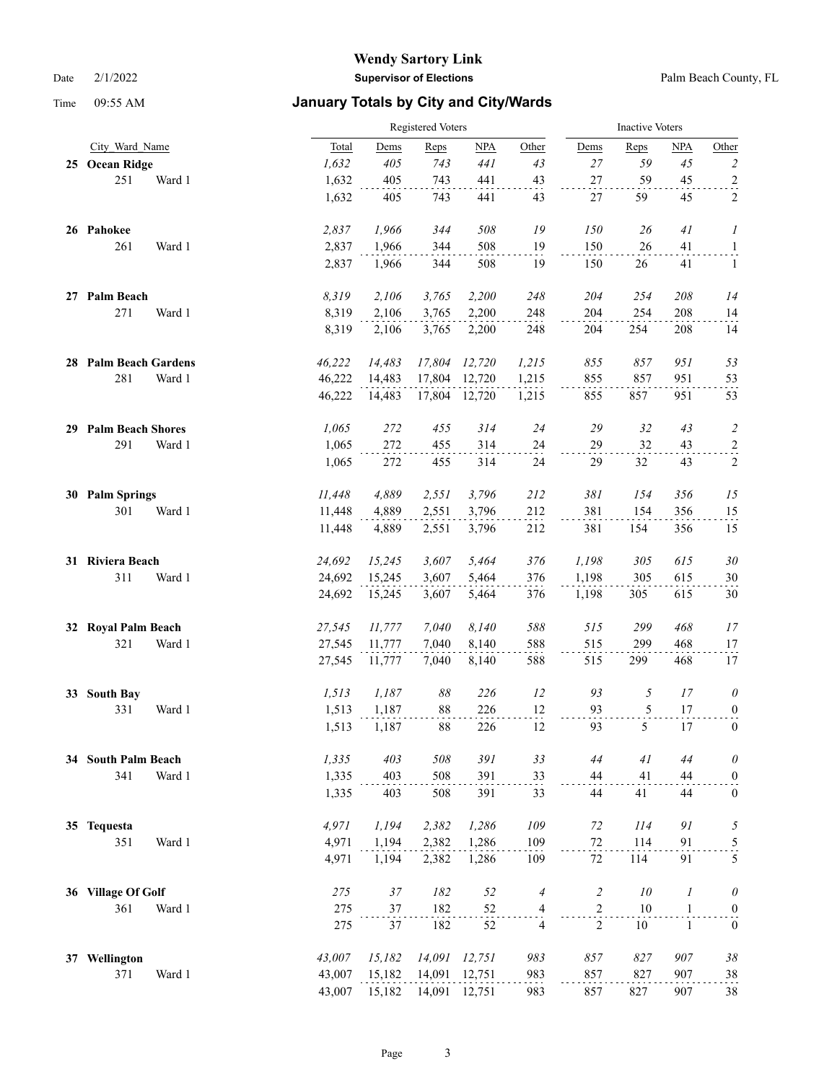|    |                       |        |        | Registered Voters |        |               |                |                |                | <b>Inactive Voters</b> |                         |  |  |  |
|----|-----------------------|--------|--------|-------------------|--------|---------------|----------------|----------------|----------------|------------------------|-------------------------|--|--|--|
|    | City Ward Name        |        | Total  | Dems              | Reps   | NPA           | Other          | Dems           | Reps           | NPA                    | Other                   |  |  |  |
|    | 25 Ocean Ridge        |        | 1,632  | 405               | 743    | 441           | 43             | 27             | 59             | 45                     | $\overline{c}$          |  |  |  |
|    | 251                   | Ward 1 | 1,632  | 405               | 743    | 441           | 43             | 27             | 59             | 45                     | $\overline{a}$          |  |  |  |
|    |                       |        | 1,632  | 405               | 743    | 441           | 43             | 27             | 59             | 45                     | 2                       |  |  |  |
|    | 26 Pahokee            |        | 2,837  | 1,966             | 344    | 508           | 19             | 150            | 26             | 41                     | 1                       |  |  |  |
|    | 261                   | Ward 1 | 2,837  | 1,966             | 344    | 508           | 19             | 150            | 26             | 41                     | $\overline{1}$          |  |  |  |
|    |                       |        | 2,837  | 1,966             | 344    | 508           | 19             | 150            | 26             | 41                     | $\mathbf{1}$            |  |  |  |
|    | 27 Palm Beach         |        | 8,319  | 2,106             | 3,765  | 2,200         | 248            | 204            | 254            | 208                    | 14                      |  |  |  |
|    | 271                   | Ward 1 | 8,319  | 2,106             | 3,765  | 2,200         | 248            | 204            | 254            | 208                    | 14                      |  |  |  |
|    |                       |        | 8,319  | 2,106             | 3,765  | 2,200         | 248            | 204            | 254            | 208                    | 14                      |  |  |  |
|    | 28 Palm Beach Gardens |        | 46,222 | 14,483            | 17,804 | 12,720        | 1,215          | 855            | 857            | 951                    | 53                      |  |  |  |
|    | 281                   | Ward 1 | 46,222 | 14,483            | 17,804 | 12,720        | 1,215          | 855            | 857            | 951                    | 53                      |  |  |  |
|    |                       |        | 46,222 | 14,483            |        | 17,804 12,720 | 1,215          | 855            | 857            | 951                    | 53                      |  |  |  |
|    | 29 Palm Beach Shores  |        | 1,065  | 272               | 455    | 314           | 24             | 29             | 32             | 43                     | $\overline{c}$          |  |  |  |
|    | 291                   | Ward 1 | 1,065  | 272               | 455    | 314           | 24             | 29             | 32             | 43                     | $\overline{a}$          |  |  |  |
|    |                       |        | 1,065  | 272               | 455    | 314           | 24             | 29             | 32             | 43                     | $\sqrt{2}$              |  |  |  |
|    | 30 Palm Springs       |        | 11,448 | 4,889             | 2,551  | 3,796         | 212            | 381            | 154            | 356                    | 15                      |  |  |  |
|    | 301                   | Ward 1 | 11,448 | 4,889             | 2,551  | 3,796         | 212            | 381            | 154            | 356                    | 15                      |  |  |  |
|    |                       |        | 11,448 | 4,889             | 2,551  | 3,796         | 212            | 381            | 154            | 356                    | 15                      |  |  |  |
|    | 31 Riviera Beach      |        | 24,692 | 15,245            | 3,607  | 5,464         | 376            | 1,198          | 305            | 615                    | 30                      |  |  |  |
|    | 311                   | Ward 1 | 24,692 | 15,245            | 3,607  | 5,464         | 376            | 1,198          | 305            | 615                    | 30                      |  |  |  |
|    |                       |        | 24,692 | 15,245            | 3,607  | 5,464         | 376            | 1,198          | 305            | 615                    | 30                      |  |  |  |
|    | 32 Royal Palm Beach   |        | 27,545 | 11,777            | 7,040  | 8,140         | 588            | 515            | 299            | 468                    | 17                      |  |  |  |
|    | 321                   | Ward 1 | 27,545 | 11,777            | 7,040  | 8,140         | 588            | 515            | 299            | 468                    | 17                      |  |  |  |
|    |                       |        | 27,545 | 11,777            | 7,040  | 8,140         | 588            | 515            | 299            | 468                    | 17                      |  |  |  |
| 33 | <b>South Bay</b>      |        | 1,513  | 1,187             | 88     | 226           | 12             | 93             | $\mathfrak{H}$ | 17                     | $\theta$                |  |  |  |
|    | 331                   | Ward 1 | 1,513  | 1,187             | 88     | 226           | 12             | 93             | 5              | 17                     | $\overline{0}$          |  |  |  |
|    |                       |        | 1,513  | 1,187             | 88     | 226           | 12             | 93             | 5              | 17                     | $\mathbf{0}$            |  |  |  |
|    | 34 South Palm Beach   |        | 1,335  | 403               | 508    | 391           | 33             | 44             | 41             | 44                     | $\theta$                |  |  |  |
|    | 341                   | Ward 1 | 1,335  | 403               | 508    | 391           | 33             | 44             | 41             | 44                     | $\boldsymbol{0}$        |  |  |  |
|    |                       |        | 1,335  | 403               | 508    | 391           | 33             | 44             | 41             | 44                     | $\boldsymbol{0}$        |  |  |  |
|    | 35 Tequesta           |        | 4,971  | 1,194             | 2,382  | 1,286         | 109            | 72             | 114            | 91                     | 5                       |  |  |  |
|    | 351                   | Ward 1 | 4,971  | 1,194             | 2,382  | 1,286         | 109            | 72             | 114            | 91                     | $\overline{\mathbf{5}}$ |  |  |  |
|    |                       |        | 4,971  | 1,194             | 2,382  | 1,286         | 109            | 72             | 114            | 91                     | 5                       |  |  |  |
|    | 36 Village Of Golf    |        | 275    | $37\,$            | 182    | 52            | 4              | $\overline{c}$ | $10\,$         | 1                      | $\theta$                |  |  |  |
|    | 361                   | Ward 1 | 275    | 37                | 182    | 52            | 4              | $\sqrt{2}$     | 10             | $\mathbf{1}$           | $\boldsymbol{0}$        |  |  |  |
|    |                       |        | 275    | 37                | 182    | 52            | $\overline{4}$ | $\overline{c}$ | 10             | $\mathbf{1}$           | $\boldsymbol{0}$        |  |  |  |
|    | 37 Wellington         |        | 43,007 | 15,182            | 14,091 | 12,751        | 983            | 857            | 827            | 907                    | $38\,$                  |  |  |  |
|    | 371                   | Ward 1 | 43,007 | 15,182            | 14,091 | 12,751        | 983            | 857            | 827            | 907                    | 38                      |  |  |  |
|    |                       |        | 43,007 | 15,182            | 14,091 | 12,751        | 983            | 857            | 827            | 907                    | 38                      |  |  |  |